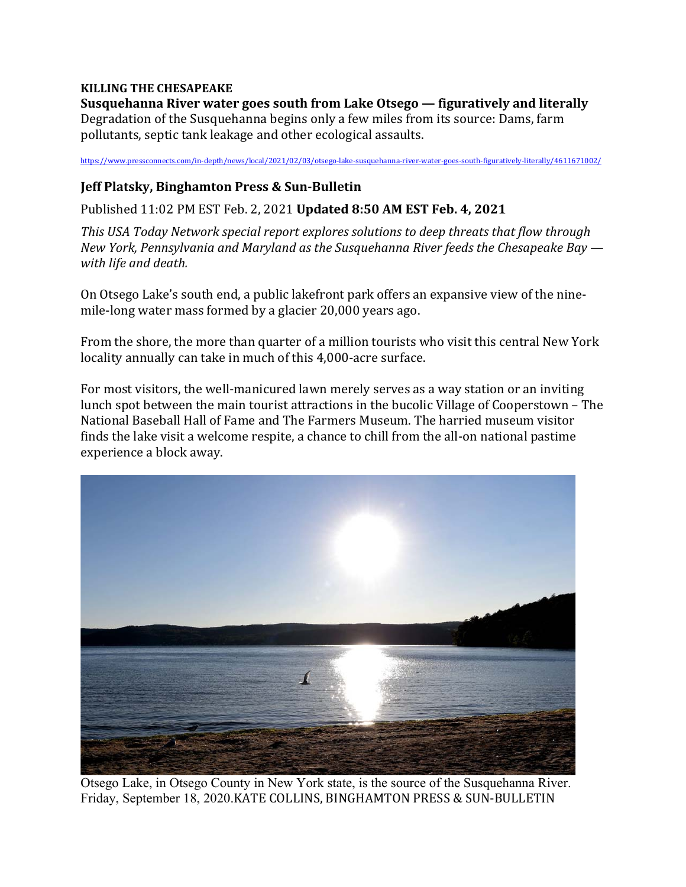#### **KILLING THE CHESAPEAKE**

**Susquehanna River water goes south from Lake Otsego — figuratively and literally** Degradation of the Susquehanna begins only a few miles from its source: Dams, farm pollutants, septic tank leakage and other ecological assaults.

https://www.pressconnects.com/in-depth/news/local/2021/02/03/otsego-lake-susquehanna-river-water-goes-south-figuratively-literally/4611671002/

#### **Jeff Platsky, Binghamton Press & Sun‐Bulletin**

Published 11:02 PM EST Feb. 2, 2021 **Updated 8:50 AM EST Feb. 4, 2021**

*This USA Today Network special report explores solutions to deep threats that flow through New York, Pennsylvania and Maryland as the Susquehanna River feeds the Chesapeake Bay with life and death.*

On Otsego Lake's south end, a public lakefront park offers an expansive view of the ninemile-long water mass formed by a glacier 20,000 years ago.

From the shore, the more than quarter of a million tourists who visit this central New York locality annually can take in much of this 4,000-acre surface.

For most visitors, the well-manicured lawn merely serves as a way station or an inviting lunch spot between the main tourist attractions in the bucolic Village of Cooperstown – The National Baseball Hall of Fame and The Farmers Museum. The harried museum visitor finds the lake visit a welcome respite, a chance to chill from the all-on national pastime experience a block away.



Otsego Lake, in Otsego County in New York state, is the source of the Susquehanna River. Friday, September 18, 2020.KATE COLLINS, BINGHAMTON PRESS & SUN-BULLETIN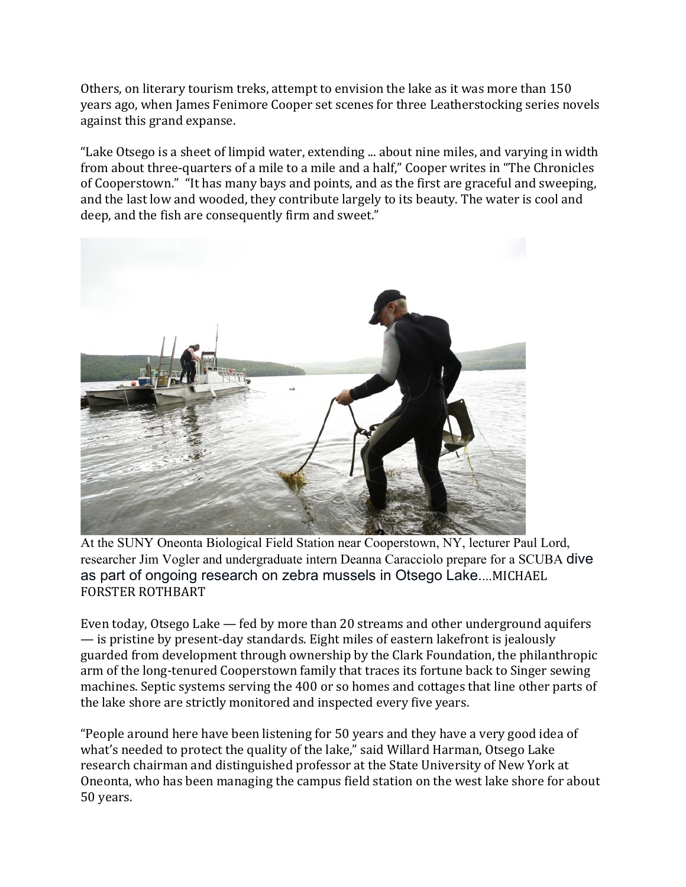Others, on literary tourism treks, attempt to envision the lake as it was more than 150 years ago, when James Fenimore Cooper set scenes for three Leatherstocking series novels against this grand expanse.

"Lake Otsego is a sheet of limpid water, extending ... about nine miles, and varying in width from about three-quarters of a mile to a mile and a half," Cooper writes in "The Chronicles of Cooperstown." "It has many bays and points, and as the first are graceful and sweeping, and the last low and wooded, they contribute largely to its beauty. The water is cool and deep, and the fish are consequently firm and sweet."



At the SUNY Oneonta Biological Field Station near Cooperstown, NY, lecturer Paul Lord, researcher Jim Vogler and undergraduate intern Deanna Caracciolo prepare for a SCUBA dive as part of ongoing research on zebra mussels in Otsego Lake....MICHAEL FORSTER ROTHBART

Even today, Otsego Lake — fed by more than 20 streams and other underground aquifers — is pristine by present-day standards. Eight miles of eastern lakefront is jealously guarded from development through ownership by the Clark Foundation, the philanthropic arm of the long-tenured Cooperstown family that traces its fortune back to Singer sewing machines. Septic systems serving the 400 or so homes and cottages that line other parts of the lake shore are strictly monitored and inspected every five years.

"People around here have been listening for 50 years and they have a very good idea of what's needed to protect the quality of the lake," said Willard Harman, Otsego Lake research chairman and distinguished professor at the State University of New York at Oneonta, who has been managing the campus field station on the west lake shore for about 50 years.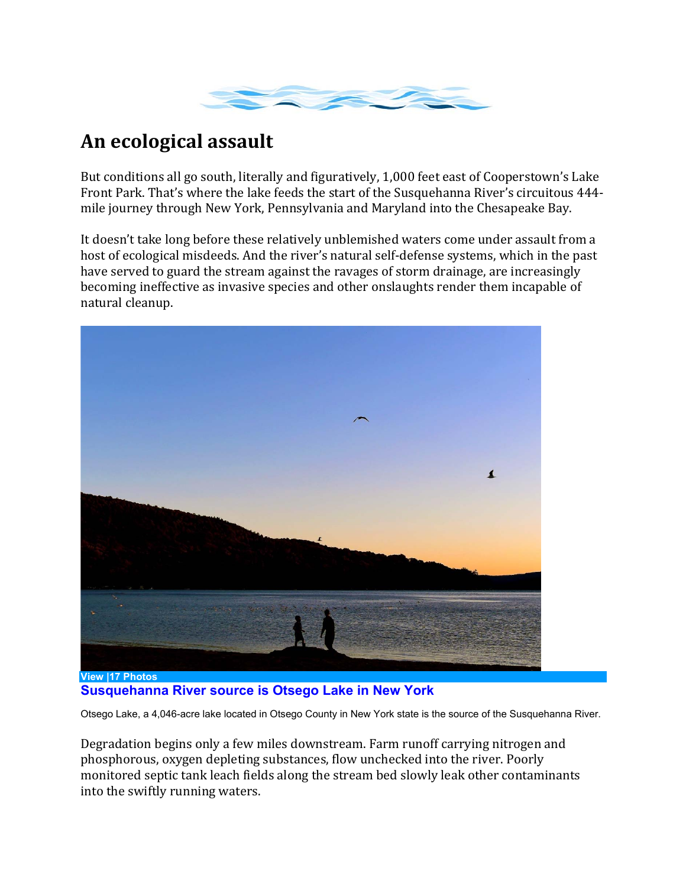

## **An ecological assault**

But conditions all go south, literally and figuratively, 1,000 feet east of Cooperstown's Lake Front Park. That's where the lake feeds the start of the Susquehanna River's circuitous 444 mile journey through New York, Pennsylvania and Maryland into the Chesapeake Bay.

It doesn't take long before these relatively unblemished waters come under assault from a host of ecological misdeeds. And the river's natural self-defense systems, which in the past have served to guard the stream against the ravages of storm drainage, are increasingly becoming ineffective as invasive species and other onslaughts render them incapable of natural cleanup.



**View |17 Photos Susquehanna River source is Otsego Lake in New York** 

Otsego Lake, a 4,046-acre lake located in Otsego County in New York state is the source of the Susquehanna River.

Degradation begins only a few miles downstream. Farm runoff carrying nitrogen and phosphorous, oxygen depleting substances, flow unchecked into the river. Poorly monitored septic tank leach fields along the stream bed slowly leak other contaminants into the swiftly running waters.